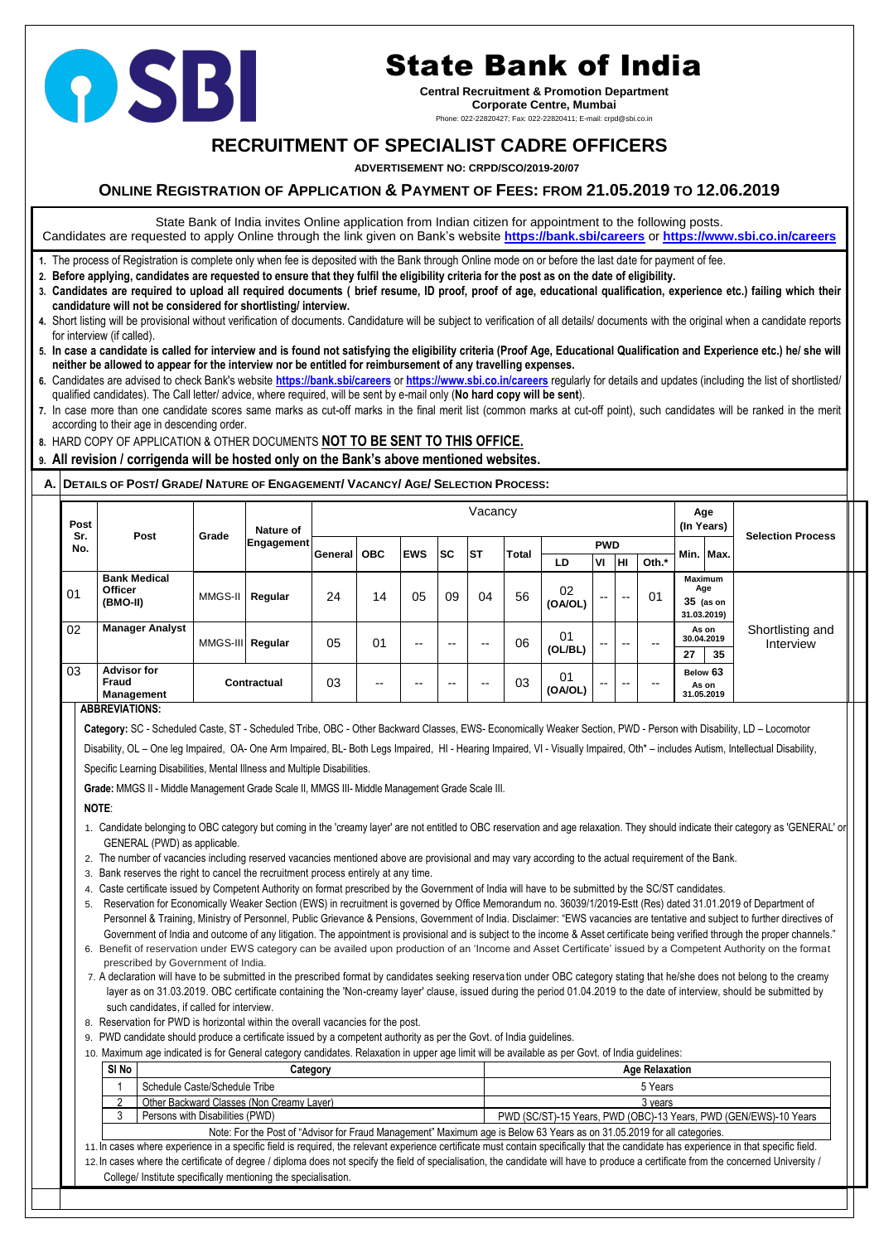# **RECRUITMENT OF SPECIALIST CADRE OFFICERS**

 **ADVERTISEMENT NO: CRPD/SCO/2019-20/07**

# **ONLINE REGISTRATION OF APPLICATION & PAYMENT OF FEES: FROM 21.05.2019 TO 12.06.2019**

State Bank of India invites Online application from Indian citizen for appointment to the following posts. Candidates are requested to apply Online through the link given on Bank's website **<https://bank.sbi/careers>** or **<https://www.sbi.co.in/careers>**

- **1.** The process of Registration is complete only when fee is deposited with the Bank through Online mode on or before the last date for payment of fee.
- **2. Before applying, candidates are requested to ensure that they fulfil the eligibility criteria for the post as on the date of eligibility.**
- **3. Candidates are required to upload all required documents ( brief resume, ID proof, proof of age, educational qualification, experience etc.) failing which their candidature will not be considered for shortlisting/ interview.**
- **4.** Short listing will be provisional without verification of documents. Candidature will be subject to verification of all details/ documents with the original when a candidate reports for interview (if called).
- **5. In case a candidate is called for interview and is found not satisfying the eligibility criteria (Proof Age, Educational Qualification and Experience etc.) he/ she will neither be allowed to appear for the interview nor be entitled for reimbursement of any travelling expenses.**
- **6.** Candidates are advised to check Bank's website **<https://bank.sbi/careers>** or **<https://www.sbi.co.in/careers>** regularly for details and updates (including the list of shortlisted/ qualified candidates). The Call letter/ advice, where required, will be sent by e-mail only (**No hard copy will be sent**).
- **7.** In case more than one candidate scores same marks as cut-off marks in the final merit list (common marks at cut-off point), such candidates will be ranked in the merit according to their age in descending order.
- **8.** HARD COPY OF APPLICATION & OTHER DOCUMENTS **NOT TO BE SENT TO THIS OFFICE.**
- **9. All revision / corrigenda will be hosted only on the Bank's above mentioned websites.**

## A. DETAILS OF POST/ GRADE/ NATURE OF ENGAGEMENT/ VACANCY/ AGE/ SELECTION PROCESS:

**Category:** SC - Scheduled Caste, ST - Scheduled Tribe, OBC - Other Backward Classes, EWS- Economically Weaker Section, PWD - Person with Disability, LD – Locomotor Disability, OL – One leg Impaired, OA- One Arm Impaired, BL- Both Legs Impaired, HI - Hearing Impaired, VI - Visually Impaired, Oth\* – includes Autism, Intellectual Disability,

| Post       |                                                         |                  | Nature of   |         |            |                        |              | Vacancy    |    |               |           |           |                          | (In Years) | Age                                                 |                               |  |
|------------|---------------------------------------------------------|------------------|-------------|---------|------------|------------------------|--------------|------------|----|---------------|-----------|-----------|--------------------------|------------|-----------------------------------------------------|-------------------------------|--|
| Sr.<br>No. | <b>Post</b>                                             | Grade            | Engagement  |         |            | <b>SC</b><br><b>ST</b> | <b>Total</b> | <b>PWD</b> |    |               |           | Min. Max. | <b>Selection Process</b> |            |                                                     |                               |  |
|            |                                                         |                  |             | General | <b>OBC</b> | <b>EWS</b>             |              |            |    | LD            | <b>VI</b> | Iнı.      | Oth.*                    |            |                                                     |                               |  |
| 01         | <b>Bank Medical</b><br><b>Officer</b><br>(BMO-II)       | MMGS-II          | Regular     | 24      | 14         | 05                     | 09           | 04         | 56 | 02<br>(OA/OL) | $- -$     | $- -$     | 01                       |            | <b>Maximum</b><br>Age<br>$35$ (as on<br>31.03.2019) |                               |  |
| 02         | <b>Manager Analyst</b>                                  | MMGS-III Regular |             | 05      | 01         | $- -$                  | $- -$        | $- -$      | 06 | 01<br>(OL/BL) | $- -$     | --        | $- -$                    | 27         | As on<br>30.04.2019<br>35                           | Shortlisting and<br>Interview |  |
| 03         | <b>Advisor for</b><br><b>Fraud</b><br><b>Management</b> |                  | Contractual | 03      | --         | --                     | $- -$        | --         | 03 | 01<br>(OA/OL) | $- -$     | $- -$     | $- -$                    |            | Below 63<br>As on<br>31.05.2019                     |                               |  |

## **ABBREVIATIONS:**

Specific Learning Disabilities, Mental Illness and Multiple Disabilities.

**Grade:** MMGS II - Middle Management Grade Scale II, MMGS III- Middle Management Grade Scale III.

**NOTE**:

- 1. Candidate belonging to OBC category but coming in the 'creamy layer' are not entitled to OBC reservation and age relaxation. They should indicate their category as 'GENERAL' or GENERAL (PWD) as applicable.
- 2. The number of vacancies including reserved vacancies mentioned above are provisional and may vary according to the actual requirement of the Bank.
- 3. Bank reserves the right to cancel the recruitment process entirely at any time.
- 4. Caste certificate issued by Competent Authority on format prescribed by the Government of India will have to be submitted by the SC/ST candidates.
- 5. Reservation for Economically Weaker Section (EWS) in recruitment is governed by Office Memorandum no. 36039/1/2019-Estt (Res) dated 31.01.2019 of Department of Personnel & Training, Ministry of Personnel, Public Grievance & Pensions, Government of India. Disclaimer: "EWS vacancies are tentative and subject to further directives of Government of India and outcome of any litigation. The appointment is provisional and is subject to the income & Asset certificate being verified through the proper channels." 6. Benefit of reservation under EWS category can be availed upon production of an 'Income and Asset Certificate' issued by a Competent Authority on the format prescribed by Government of India.
- 7. A declaration will have to be submitted in the prescribed format by candidates seeking reserva tion under OBC category stating that he/she does not belong to the creamy layer as on 31.03.2019. OBC certificate containing the 'Non-creamy layer' clause, issued during the period 01.04.2019 to the date of interview, should be submitted by such candidates, if called for interview.
- 8. Reservation for PWD is horizontal within the overall vacancies for the post.
- 9. PWD candidate should produce a certificate issued by a competent authority as per the Govt. of India guidelines.
- 10. Maximum age indicated is for General category candidates. Relaxation in upper age limit will be available as per Govt. of India guidelines:

| SI No                                                                                                                                                                                  | Category                        | <b>Age Relaxation</b>                                            |  |  |  |  |
|----------------------------------------------------------------------------------------------------------------------------------------------------------------------------------------|---------------------------------|------------------------------------------------------------------|--|--|--|--|
| Schedule Caste/Schedule Tribe                                                                                                                                                          |                                 | 5 Years                                                          |  |  |  |  |
| Other Backward Classes (Non Creamy Laver)                                                                                                                                              |                                 | 3 vears                                                          |  |  |  |  |
|                                                                                                                                                                                        | Persons with Disabilities (PWD) | PWD (SC/ST)-15 Years, PWD (OBC)-13 Years, PWD (GEN/EWS)-10 Years |  |  |  |  |
| Note: For the Post of "Advisor for Fraud Management" Maximum age is Below 63 Years as on 31.05.2019 for all categories.                                                                |                                 |                                                                  |  |  |  |  |
| 11. In cases where experience in a specific field is required, the relevant experience certificate must contain specifically that the candidate has experience in that specific field. |                                 |                                                                  |  |  |  |  |
| 12. In cases where the certificate of degree / diploma does not specify the field of specialisation, the candidate will have to produce a certificate from the concerned University /  |                                 |                                                                  |  |  |  |  |
| College/ Institute specifically mentioning the specialisation.                                                                                                                         |                                 |                                                                  |  |  |  |  |



# State Bank of India

**Central Recruitment & Promotion Department Corporate Centre, Mumbai**

Phone: 022-22820427; Fax: 022-22820411; E-mail: crpd@sbi.co.in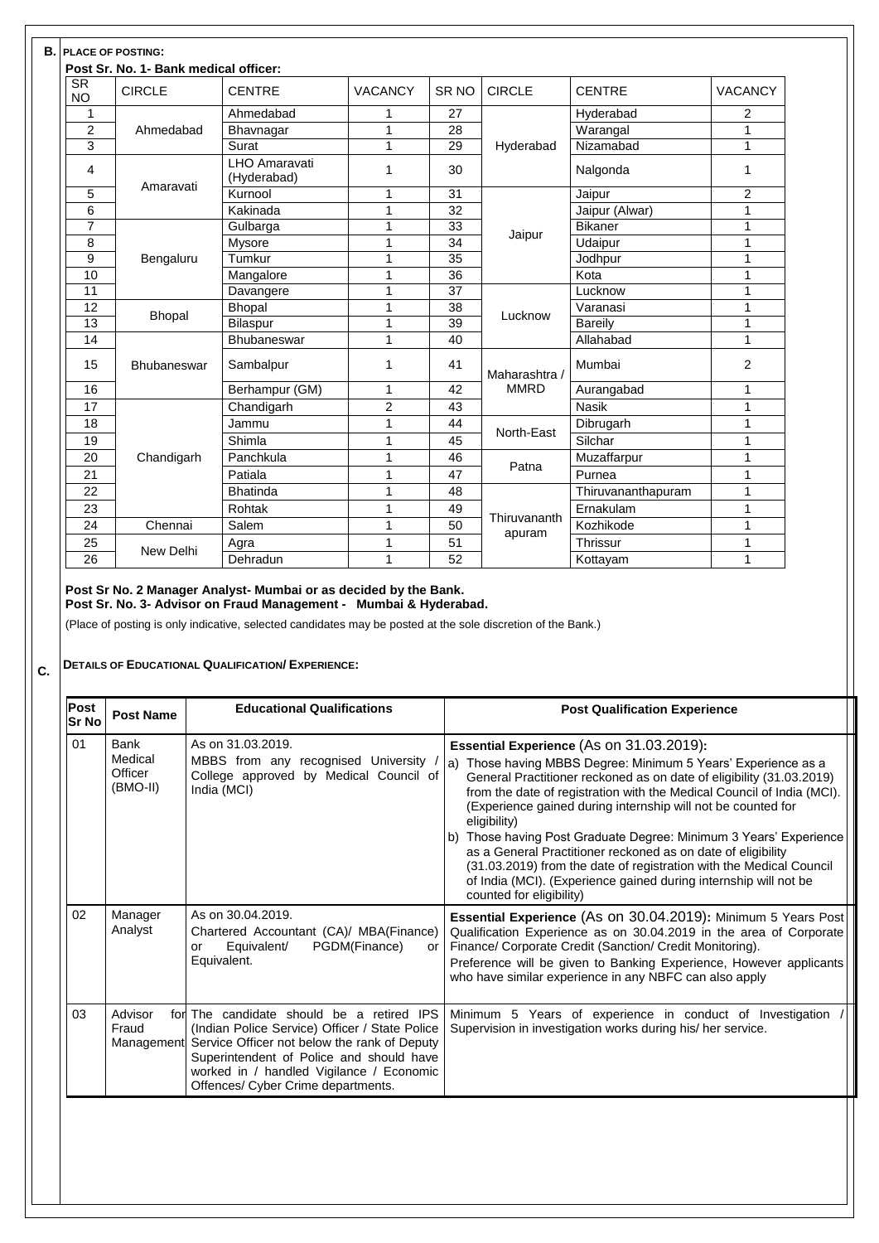| <b>SR</b><br><b>NO</b> | <b>CIRCLE</b>      | <b>CENTRE</b>                       | <b>VACANCY</b> | SR <sub>NO</sub> | <b>CIRCLE</b> | <b>CENTRE</b>      | <b>VACANCY</b> |
|------------------------|--------------------|-------------------------------------|----------------|------------------|---------------|--------------------|----------------|
| 1                      |                    | Ahmedabad                           | 1              | 27               |               | Hyderabad          | $\overline{2}$ |
| $\overline{2}$         | Ahmedabad          | Bhavnagar                           | 1              | 28               |               | Warangal           | 1              |
| 3                      |                    | <b>Surat</b>                        | 1              | 29               | Hyderabad     | Nizamabad          | $\mathbf 1$    |
| 4                      |                    | <b>LHO Amaravati</b><br>(Hyderabad) | 1              | 30               |               | Nalgonda           | 1              |
| 5                      | Amaravati          | Kurnool                             | 1              | 31               |               | Jaipur             | $\overline{2}$ |
| 6                      |                    | Kakinada                            | 1              | 32               |               | Jaipur (Alwar)     | 1              |
| $\overline{7}$         |                    | Gulbarga                            | 1              | 33               |               | <b>Bikaner</b>     | 1              |
| 8                      |                    | <b>Mysore</b>                       | 1              | 34               | Jaipur        | Udaipur            | 1              |
| 9                      | Bengaluru          | Tumkur                              | 1              | 35               |               | Jodhpur            | $\mathbf 1$    |
| 10                     |                    | Mangalore                           | 1              | 36               |               | Kota               | 1              |
| 11                     |                    | Davangere                           |                | 37               |               | Lucknow            | 1              |
| 12                     | <b>Bhopal</b>      | <b>Bhopal</b>                       | 1              | 38               | Lucknow       | Varanasi           | 1              |
| 13                     |                    | <b>Bilaspur</b>                     | 1              | 39               |               | <b>Bareily</b>     | 1              |
| 14                     |                    | <b>Bhubaneswar</b>                  | 1              | 40               |               | Allahabad          | $\mathbf 1$    |
| 15                     | <b>Bhubaneswar</b> | Sambalpur                           | 1              | 41               | Maharashtra / | Mumbai             | $\overline{2}$ |
| 16                     |                    | Berhampur (GM)                      | 1              | 42               | <b>MMRD</b>   | Aurangabad         | 1              |
| 17                     |                    | Chandigarh                          | $\overline{2}$ | 43               |               | <b>Nasik</b>       | 1              |
| 18                     |                    | Jammu                               | 1              | 44               |               | Dibrugarh          | $\mathbf 1$    |
| 19                     |                    | Shimla                              | 1              | 45               | North-East    | Silchar            | $\mathbf 1$    |
| 20                     | Chandigarh         | Panchkula                           | 1              | 46               |               | Muzaffarpur        | 1              |
| 21                     |                    | Patiala                             | 1              | 47               | Patna         | Purnea             | 1              |
| 22                     |                    | <b>Bhatinda</b>                     | 1              | 48               |               | Thiruvananthapuram | 1              |
| 23                     |                    | Rohtak                              | 1              | 49               |               | Ernakulam          | 1              |
| 24                     | Chennai            | Salem                               | 1              | 50               | Thiruvananth  | Kozhikode          | 1              |
| 25                     |                    | Agra                                | 1              | 51               | apuram        | <b>Thrissur</b>    | 1              |
| 26                     | New Delhi          | Dehradun                            | 1              | 52               |               | Kottayam           | $\mathbf{1}$   |
|                        |                    |                                     |                |                  |               |                    |                |

**C. DETAILS OF EDUCATIONAL QUALIFICATION/ EXPERIENCE:**

| <b>Educational Qualifications</b>                                                                                                                                                                                                                                                    | <b>Post Qualification Experience</b>                                                                                                                                                                                                                                                                                                                                                                                                                                                                                                                                                                                                                    |
|--------------------------------------------------------------------------------------------------------------------------------------------------------------------------------------------------------------------------------------------------------------------------------------|---------------------------------------------------------------------------------------------------------------------------------------------------------------------------------------------------------------------------------------------------------------------------------------------------------------------------------------------------------------------------------------------------------------------------------------------------------------------------------------------------------------------------------------------------------------------------------------------------------------------------------------------------------|
| As on 31.03.2019.<br>MBBS from any recognised University<br>College approved by Medical Council of<br>India (MCI)                                                                                                                                                                    | Essential Experience (As on 31.03.2019):<br>a) Those having MBBS Degree: Minimum 5 Years' Experience as a<br>General Practitioner reckoned as on date of eligibility (31.03.2019)<br>from the date of registration with the Medical Council of India (MCI).<br>(Experience gained during internship will not be counted for<br>eligibility)<br>b) Those having Post Graduate Degree: Minimum 3 Years' Experience<br>as a General Practitioner reckoned as on date of eligibility<br>(31.03.2019) from the date of registration with the Medical Council<br>of India (MCI). (Experience gained during internship will not be<br>counted for eligibility) |
| As on 30.04.2019.<br>Chartered Accountant (CA)/ MBA(Finance)<br>PGDM(Finance)<br>Equivalent/<br>or<br>or<br>Equivalent.                                                                                                                                                              | Essential Experience (As on 30.04.2019): Minimum 5 Years Post<br>Qualification Experience as on 30.04.2019 in the area of Corporate<br>Finance/ Corporate Credit (Sanction/ Credit Monitoring).<br>Preference will be given to Banking Experience, However applicants<br>who have similar experience in any NBFC can also apply                                                                                                                                                                                                                                                                                                                         |
| for The candidate should be a retired IPS<br>(Indian Police Service) Officer / State Police<br>Management Service Officer not below the rank of Deputy<br>Superintendent of Police and should have<br>worked in / handled Vigilance / Economic<br>Offences/ Cyber Crime departments. | Minimum 5 Years of experience in conduct of Investigation<br>Supervision in investigation works during his/ her service.                                                                                                                                                                                                                                                                                                                                                                                                                                                                                                                                |
|                                                                                                                                                                                                                                                                                      |                                                                                                                                                                                                                                                                                                                                                                                                                                                                                                                                                                                                                                                         |
|                                                                                                                                                                                                                                                                                      |                                                                                                                                                                                                                                                                                                                                                                                                                                                                                                                                                                                                                                                         |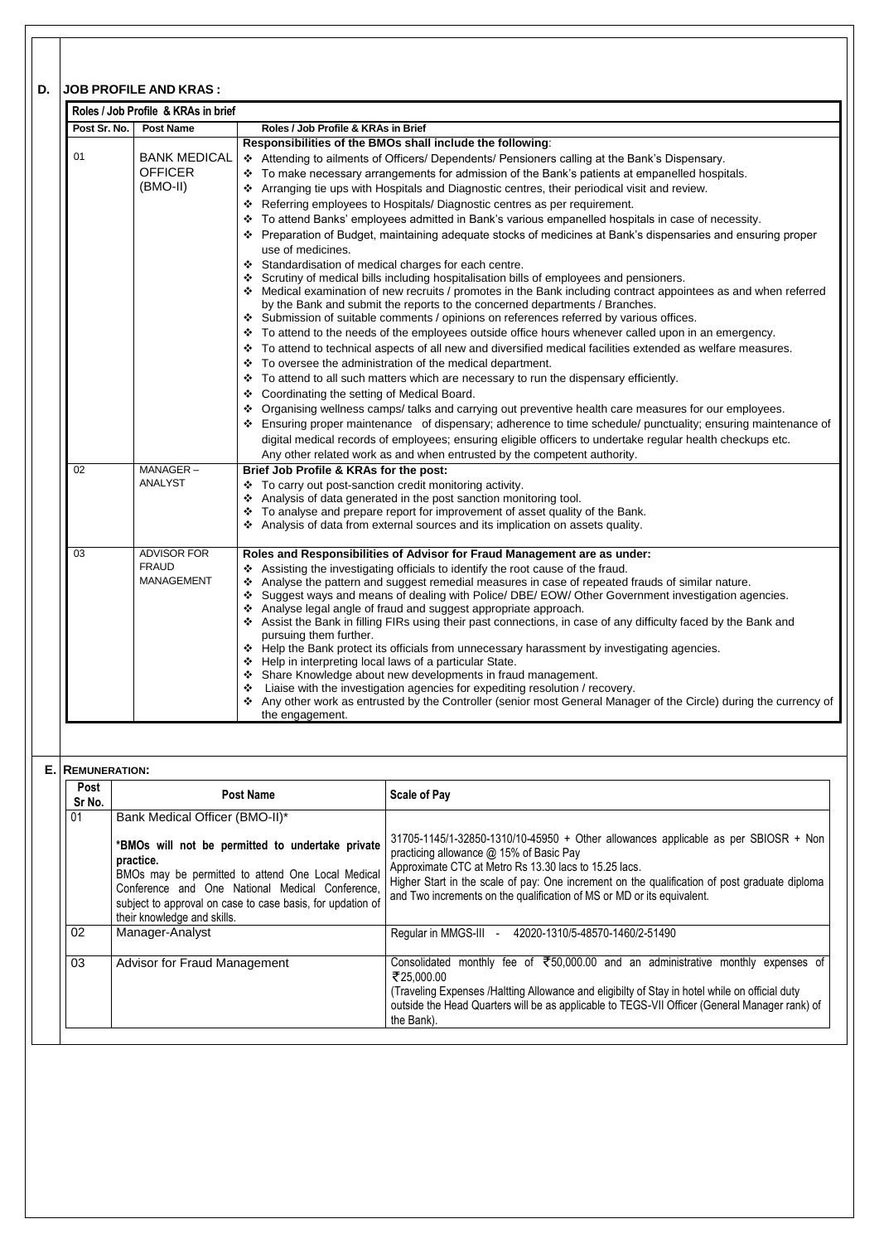# **D. JOB PROFILE AND KRAS :**

| Post Sr. No. | <b>Post Name</b>    | Roles / Job Profile & KRAs in Brief                                                                                                                                                            |
|--------------|---------------------|------------------------------------------------------------------------------------------------------------------------------------------------------------------------------------------------|
|              |                     | Responsibilities of the BMOs shall include the following:                                                                                                                                      |
| 01           | <b>BANK MEDICAL</b> | ❖ Attending to ailments of Officers/ Dependents/ Pensioners calling at the Bank's Dispensary.                                                                                                  |
|              | <b>OFFICER</b>      | To make necessary arrangements for admission of the Bank's patients at empanelled hospitals.                                                                                                   |
|              | $(BMO-II)$          | Arranging tie ups with Hospitals and Diagnostic centres, their periodical visit and review.<br>❖                                                                                               |
|              |                     | Referring employees to Hospitals/ Diagnostic centres as per requirement.                                                                                                                       |
|              |                     | To attend Banks' employees admitted in Bank's various empanelled hospitals in case of necessity.                                                                                               |
|              |                     | ❖ Preparation of Budget, maintaining adequate stocks of medicines at Bank's dispensaries and ensuring proper                                                                                   |
|              |                     | use of medicines.                                                                                                                                                                              |
|              |                     |                                                                                                                                                                                                |
|              |                     | ❖ Standardisation of medical charges for each centre.                                                                                                                                          |
|              |                     | Scrutiny of medical bills including hospitalisation bills of employees and pensioners.                                                                                                         |
|              |                     | ❖ Medical examination of new recruits / promotes in the Bank including contract appointees as and when referred<br>by the Bank and submit the reports to the concerned departments / Branches. |
|              |                     | ❖ Submission of suitable comments / opinions on references referred by various offices.                                                                                                        |
|              |                     | * To attend to the needs of the employees outside office hours whenever called upon in an emergency.                                                                                           |
|              |                     | * To attend to technical aspects of all new and diversified medical facilities extended as welfare measures.                                                                                   |
|              |                     | ❖ To oversee the administration of the medical department.                                                                                                                                     |
|              |                     |                                                                                                                                                                                                |
|              |                     | $\div$ To attend to all such matters which are necessary to run the dispensary efficiently.                                                                                                    |
|              |                     | Coordinating the setting of Medical Board.<br>❖                                                                                                                                                |
|              |                     | * Organising wellness camps/ talks and carrying out preventive health care measures for our employees.                                                                                         |
|              |                     | * Ensuring proper maintenance of dispensary; adherence to time schedule/ punctuality; ensuring maintenance of                                                                                  |
|              |                     | digital medical records of employees; ensuring eligible officers to undertake regular health checkups etc.                                                                                     |
|              |                     | Any other related work as and when entrusted by the competent authority.                                                                                                                       |
| 02           | MANAGER-            | Brief Job Profile & KRAs for the post:                                                                                                                                                         |
|              | <b>ANALYST</b>      | ❖ To carry out post-sanction credit monitoring activity.                                                                                                                                       |
|              |                     | ❖ Analysis of data generated in the post sanction monitoring tool.                                                                                                                             |
|              |                     | * To analyse and prepare report for improvement of asset quality of the Bank.                                                                                                                  |
|              |                     | ❖ Analysis of data from external sources and its implication on assets quality.                                                                                                                |
| 03           | <b>ADVISOR FOR</b>  | Roles and Responsibilities of Advisor for Fraud Management are as under:                                                                                                                       |
|              | <b>FRAUD</b>        | Assisting the investigating officials to identify the root cause of the fraud.                                                                                                                 |
|              | <b>MANAGEMENT</b>   | Analyse the pattern and suggest remedial measures in case of repeated frauds of similar nature.                                                                                                |
|              |                     | ❖ Suggest ways and means of dealing with Police/ DBE/ EOW/ Other Government investigation agencies.                                                                                            |
|              |                     | Analyse legal angle of fraud and suggest appropriate approach.                                                                                                                                 |
|              |                     | ❖ Assist the Bank in filling FIRs using their past connections, in case of any difficulty faced by the Bank and                                                                                |
|              |                     | pursuing them further.                                                                                                                                                                         |
|              |                     | ❖ Help the Bank protect its officials from unnecessary harassment by investigating agencies.                                                                                                   |
|              |                     | Help in interpreting local laws of a particular State.                                                                                                                                         |
|              |                     | Share Knowledge about new developments in fraud management.                                                                                                                                    |
|              |                     | Liaise with the investigation agencies for expediting resolution / recovery.                                                                                                                   |
|              |                     | Any other work as entrusted by the Controller (senior most General Manager of the Circle) during the currency of<br>❖                                                                          |
|              |                     | the engagement.                                                                                                                                                                                |
|              |                     |                                                                                                                                                                                                |
|              |                     |                                                                                                                                                                                                |

| 01 | <b>Post Name</b>                                                                                                                                                                                                                                                   | <b>Scale of Pay</b>                                                                                                                                                                                                                                                                                                                                               |
|----|--------------------------------------------------------------------------------------------------------------------------------------------------------------------------------------------------------------------------------------------------------------------|-------------------------------------------------------------------------------------------------------------------------------------------------------------------------------------------------------------------------------------------------------------------------------------------------------------------------------------------------------------------|
|    | Bank Medical Officer (BMO-II)*                                                                                                                                                                                                                                     |                                                                                                                                                                                                                                                                                                                                                                   |
|    | *BMOs will not be permitted to undertake private<br>practice.<br>BMOs may be permitted to attend One Local Medical<br>Conference and One National Medical Conference,<br>subject to approval on case to case basis, for updation of<br>their knowledge and skills. | 31705-1145/1-32850-1310/10-45950 + Other allowances applicable as per SBIOSR + Non<br>practicing allowance @ 15% of Basic Pay<br>Approximate CTC at Metro Rs 13.30 lacs to 15.25 lacs.<br>Higher Start in the scale of pay: One increment on the qualification of post graduate diploma<br>and Two increments on the qualification of MS or MD or its equivalent. |
| 02 | Manager-Analyst                                                                                                                                                                                                                                                    | Regular in MMGS-III - 42020-1310/5-48570-1460/2-51490                                                                                                                                                                                                                                                                                                             |
| 03 | <b>Advisor for Fraud Management</b>                                                                                                                                                                                                                                | Consolidated monthly fee of ₹50,000.00 and an administrative monthly expenses of<br>₹25,000.00<br>(Traveling Expenses /Haltting Allowance and eligibilty of Stay in hotel while on official duty<br>outside the Head Quarters will be as applicable to TEGS-VII Officer (General Manager rank) of<br>the Bank).                                                   |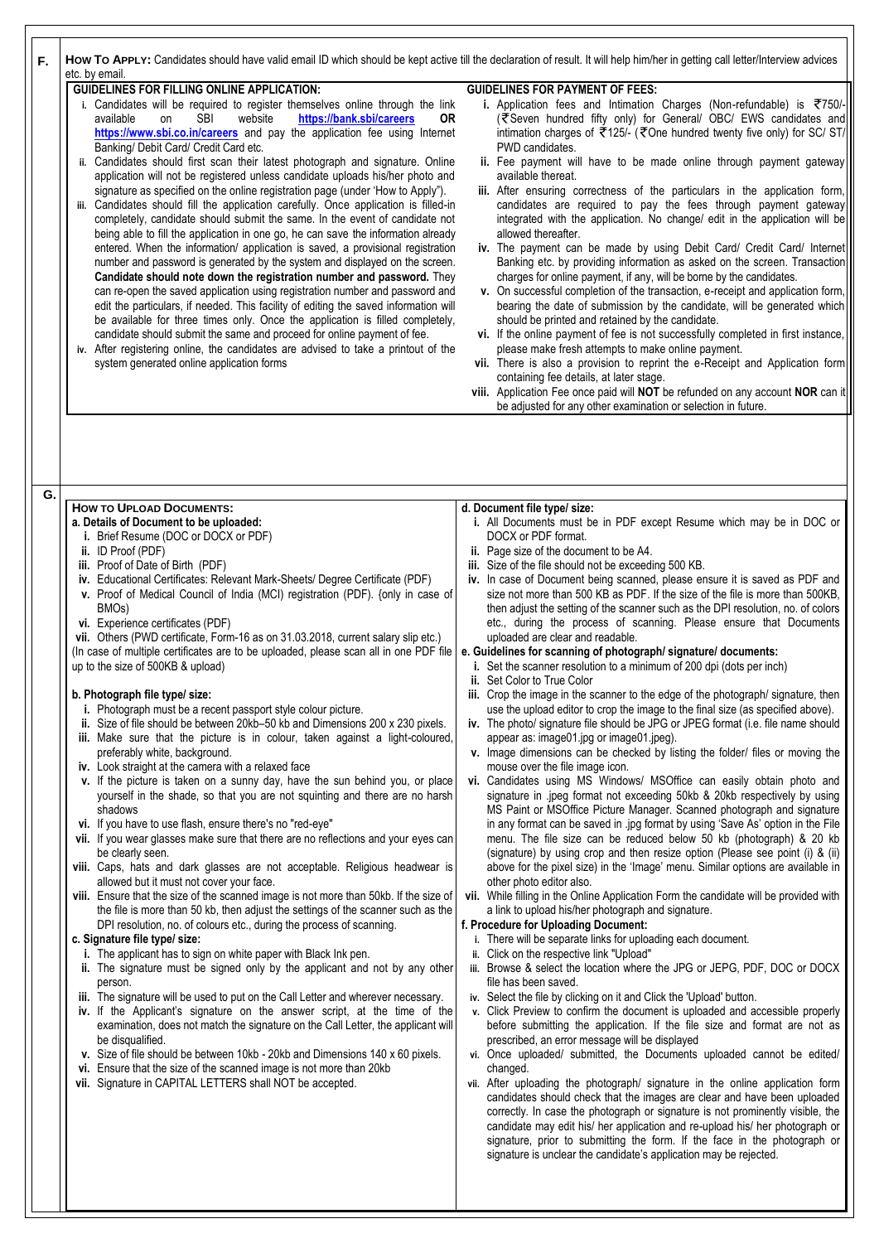| F. | How To APPLY: Candidates should have valid email ID which should be kept active till the declaration of result. It will help him/her in getting call letter/Interview advices<br>etc. by email.                                                                                                                                                                                                                                                                                                                                                                                                                                                                                                                                                                                                                                                                                                                                                                                                                                                                                                                                                                                                                                                                                                                                                                                                                                                                                                                                                                                 |                                                                                                                                                                                                                                                                                                                                                                                                                                                                                                                                                                                                                                                                                                                                                                                                                                                                                                                                                                                                                                                                                                                                                                                                                                                                                                                                                                                                                                                                                                                                                                                                                                                                                |
|----|---------------------------------------------------------------------------------------------------------------------------------------------------------------------------------------------------------------------------------------------------------------------------------------------------------------------------------------------------------------------------------------------------------------------------------------------------------------------------------------------------------------------------------------------------------------------------------------------------------------------------------------------------------------------------------------------------------------------------------------------------------------------------------------------------------------------------------------------------------------------------------------------------------------------------------------------------------------------------------------------------------------------------------------------------------------------------------------------------------------------------------------------------------------------------------------------------------------------------------------------------------------------------------------------------------------------------------------------------------------------------------------------------------------------------------------------------------------------------------------------------------------------------------------------------------------------------------|--------------------------------------------------------------------------------------------------------------------------------------------------------------------------------------------------------------------------------------------------------------------------------------------------------------------------------------------------------------------------------------------------------------------------------------------------------------------------------------------------------------------------------------------------------------------------------------------------------------------------------------------------------------------------------------------------------------------------------------------------------------------------------------------------------------------------------------------------------------------------------------------------------------------------------------------------------------------------------------------------------------------------------------------------------------------------------------------------------------------------------------------------------------------------------------------------------------------------------------------------------------------------------------------------------------------------------------------------------------------------------------------------------------------------------------------------------------------------------------------------------------------------------------------------------------------------------------------------------------------------------------------------------------------------------|
|    | <b>GUIDELINES FOR FILLING ONLINE APPLICATION:</b><br>i. Candidates will be required to register themselves online through the link<br><b>SBI</b><br>website<br>https://bank.sbi/careers<br>available<br><b>OR</b><br>on<br>https://www.sbi.co.in/careers and pay the application fee using Internet<br>Banking/ Debit Card/ Credit Card etc.<br>ii. Candidates should first scan their latest photograph and signature. Online<br>application will not be registered unless candidate uploads his/her photo and<br>signature as specified on the online registration page (under 'How to Apply").<br>iii. Candidates should fill the application carefully. Once application is filled-in<br>completely, candidate should submit the same. In the event of candidate not<br>being able to fill the application in one go, he can save the information already<br>entered. When the information/ application is saved, a provisional registration<br>number and password is generated by the system and displayed on the screen.<br>Candidate should note down the registration number and password. They<br>can re-open the saved application using registration number and password and<br>edit the particulars, if needed. This facility of editing the saved information will<br>be available for three times only. Once the application is filled completely,<br>candidate should submit the same and proceed for online payment of fee.<br>iv. After registering online, the candidates are advised to take a printout of the<br>system generated online application forms | <b>GUIDELINES FOR PAYMENT OF FEES:</b><br>i. Application fees and Intimation Charges (Non-refundable) is $\overline{5}750/-$<br>(₹Seven hundred fifty only) for General/ OBC/ EWS candidates and<br>intimation charges of ₹125/- (₹One hundred twenty five only) for SC/ ST/<br>PWD candidates.<br>ii. Fee payment will have to be made online through payment gateway<br>available thereat.<br>iii. After ensuring correctness of the particulars in the application form,<br>candidates are required to pay the fees through payment gateway<br>integrated with the application. No change/ edit in the application will be<br>allowed thereafter.<br>iv. The payment can be made by using Debit Card/ Credit Card/ Internet<br>Banking etc. by providing information as asked on the screen. Transaction<br>charges for online payment, if any, will be borne by the candidates.<br>v. On successful completion of the transaction, e-receipt and application form,<br>bearing the date of submission by the candidate, will be generated which<br>should be printed and retained by the candidate.<br>vi. If the online payment of fee is not successfully completed in first instance,<br>please make fresh attempts to make online payment.<br>vii. There is also a provision to reprint the e-Receipt and Application form<br>containing fee details, at later stage.<br>viii. Application Fee once paid will NOT be refunded on any account NOR can it<br>be adjusted for any other examination or selection in future.                                                                                                                                                |
| G. |                                                                                                                                                                                                                                                                                                                                                                                                                                                                                                                                                                                                                                                                                                                                                                                                                                                                                                                                                                                                                                                                                                                                                                                                                                                                                                                                                                                                                                                                                                                                                                                 |                                                                                                                                                                                                                                                                                                                                                                                                                                                                                                                                                                                                                                                                                                                                                                                                                                                                                                                                                                                                                                                                                                                                                                                                                                                                                                                                                                                                                                                                                                                                                                                                                                                                                |
|    |                                                                                                                                                                                                                                                                                                                                                                                                                                                                                                                                                                                                                                                                                                                                                                                                                                                                                                                                                                                                                                                                                                                                                                                                                                                                                                                                                                                                                                                                                                                                                                                 |                                                                                                                                                                                                                                                                                                                                                                                                                                                                                                                                                                                                                                                                                                                                                                                                                                                                                                                                                                                                                                                                                                                                                                                                                                                                                                                                                                                                                                                                                                                                                                                                                                                                                |
|    | <b>HOW TO UPLOAD DOCUMENTS:</b><br>a. Details of Document to be uploaded:<br>i. Brief Resume (DOC or DOCX or PDF)<br>ii. ID Proof $(PDF)$<br>iii. Proof of Date of Birth (PDF)<br>iv. Educational Certificates: Relevant Mark-Sheets/ Degree Certificate (PDF)<br>v. Proof of Medical Council of India (MCI) registration (PDF). {only in case of<br>BMO <sub>s</sub> )<br>vi. Experience certificates (PDF)<br>vii. Others (PWD certificate, Form-16 as on 31.03.2018, current salary slip etc.)<br>(In case of multiple certificates are to be uploaded, please scan all in one PDF file<br>up to the size of 500KB & upload)<br>b. Photograph file type/ size:<br>i. Photograph must be a recent passport style colour picture.<br>ii. Size of file should be between 20kb–50 kb and Dimensions 200 x 230 pixels.<br>iii. Make sure that the picture is in colour, taken against a light-coloured,<br>preferably white, background.<br>iv. Look straight at the camera with a relaxed face<br>v. If the picture is taken on a sunny day, have the sun behind you, or place<br>yourself in the shade, so that you are not squinting and there are no harsh<br>shadows<br>vi. If you have to use flash, ensure there's no "red-eye"<br>vii. If you wear glasses make sure that there are no reflections and your eyes can<br>be clearly seen.                                                                                                                                                                                                                                  | d. Document file type/ size:<br>i. All Documents must be in PDF except Resume which may be in DOC or<br>DOCX or PDF format.<br>ii. Page size of the document to be A4.<br>iii. Size of the file should not be exceeding 500 KB.<br>iv. In case of Document being scanned, please ensure it is saved as PDF and<br>size not more than 500 KB as PDF. If the size of the file is more than 500KB,<br>then adjust the setting of the scanner such as the DPI resolution, no. of colors<br>etc., during the process of scanning. Please ensure that Documents<br>uploaded are clear and readable.<br>e. Guidelines for scanning of photograph/signature/documents:<br>i. Set the scanner resolution to a minimum of 200 dpi (dots per inch)<br>ii. Set Color to True Color<br>iii. Crop the image in the scanner to the edge of the photograph/ signature, then<br>use the upload editor to crop the image to the final size (as specified above).<br>iv. The photo/ signature file should be JPG or JPEG format (i.e. file name should<br>appear as: image01 jpg or image01 jpeg).<br>v. Image dimensions can be checked by listing the folder/ files or moving the<br>mouse over the file image icon.<br>vi. Candidates using MS Windows/ MSOffice can easily obtain photo and<br>signature in .jpeg format not exceeding 50kb & 20kb respectively by using<br>MS Paint or MSOffice Picture Manager. Scanned photograph and signature<br>in any format can be saved in .jpg format by using 'Save As' option in the File<br>menu. The file size can be reduced below 50 kb (photograph) & 20 kb<br>(signature) by using crop and then resize option (Please see point (i) & (ii) |

#### **c. Signature file type/ size:**

- **i.** The applicant has to sign on white paper with Black Ink pen.
- **ii.** The signature must be signed only by the applicant and not by any other person.
- **iii.** The signature will be used to put on the Call Letter and wherever necessary. **iv.** If the Applicant's signature on the answer script, at the time of the examination, does not match the signature on the Call Letter, the applicant will be disqualified.
- **v.** Size of file should be between 10kb 20kb and Dimensions 140 x 60 pixels.
- **vi.** Ensure that the size of the scanned image is not more than 20kb
- **vii.** Signature in CAPITAL LETTERS shall NOT be accepted.
- **i.** There will be separate links for uploading each document.
- **ii.** Click on the respective link "Upload"
- **iii.** Browse & select the location where the JPG or JEPG, PDF, DOC or DOCX file has been saved.
- **iv.** Select the file by clicking on it and Click the 'Upload' button.
- **v.** Click Preview to confirm the document is uploaded and accessible properly before submitting the application. If the file size and format are not as prescribed, an error message will be displayed
- **vi.** Once uploaded/ submitted, the Documents uploaded cannot be edited/ changed.
- **vii.** After uploading the photograph/ signature in the online application form candidates should check that the images are clear and have been uploaded correctly. In case the photograph or signature is not prominently visible, the candidate may edit his/ her application and re-upload his/ her photograph or signature, prior to submitting the form. If the face in the photograph or signature is unclear the candidate's application may be rejected.